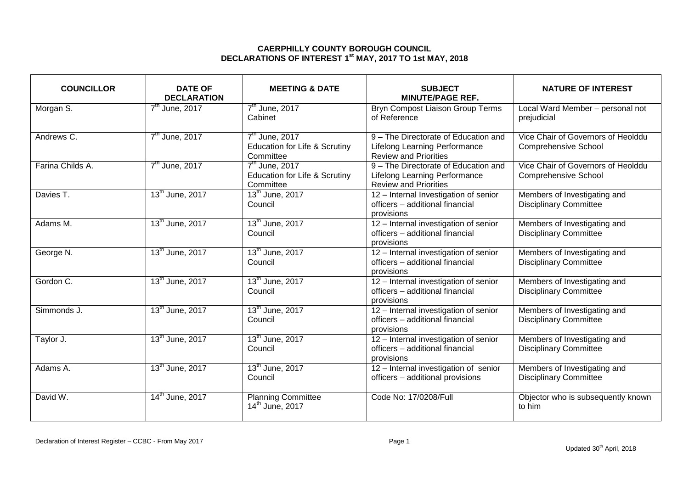## **CAERPHILLY COUNTY BOROUGH COUNCIL DECLARATIONS OF INTEREST 1 st MAY, 2017 TO 1st MAY, 2018**

| <b>COUNCILLOR</b> | <b>DATE OF</b><br><b>DECLARATION</b> | <b>MEETING &amp; DATE</b>                                                 | <b>SUBJECT</b><br><b>MINUTE/PAGE REF.</b>                                                                    | <b>NATURE OF INTEREST</b>                                         |
|-------------------|--------------------------------------|---------------------------------------------------------------------------|--------------------------------------------------------------------------------------------------------------|-------------------------------------------------------------------|
| Morgan S.         | $7th$ June, 2017                     | 7 <sup>th</sup> June, 2017<br>Cabinet                                     | <b>Bryn Compost Liaison Group Terms</b><br>of Reference                                                      | Local Ward Member - personal not<br>prejudicial                   |
| Andrews C.        | $7th$ June, 2017                     | $7th$ June, 2017<br><b>Education for Life &amp; Scrutiny</b><br>Committee | 9 - The Directorate of Education and<br><b>Lifelong Learning Performance</b><br><b>Review and Priorities</b> | Vice Chair of Governors of Heolddu<br><b>Comprehensive School</b> |
| Farina Childs A.  | $7th$ June, 2017                     | $7th$ June, 2017<br><b>Education for Life &amp; Scrutiny</b><br>Committee | 9 - The Directorate of Education and<br><b>Lifelong Learning Performance</b><br><b>Review and Priorities</b> | Vice Chair of Governors of Heolddu<br><b>Comprehensive School</b> |
| Davies T.         | 13 <sup>th</sup> June, 2017          | 13 <sup>th</sup> June, 2017<br>Council                                    | 12 - Internal Investigation of senior<br>officers - additional financial<br>provisions                       | Members of Investigating and<br><b>Disciplinary Committee</b>     |
| Adams M.          | 13 <sup>th</sup> June, 2017          | 13 <sup>th</sup> June, 2017<br>Council                                    | 12 - Internal investigation of senior<br>officers - additional financial<br>provisions                       | Members of Investigating and<br><b>Disciplinary Committee</b>     |
| George N.         | 13 <sup>th</sup> June, 2017          | 13 <sup>th</sup> June, 2017<br>Council                                    | 12 - Internal investigation of senior<br>officers - additional financial<br>provisions                       | Members of Investigating and<br><b>Disciplinary Committee</b>     |
| Gordon C.         | 13 <sup>th</sup> June, 2017          | 13 <sup>th</sup> June, 2017<br>Council                                    | 12 - Internal investigation of senior<br>officers - additional financial<br>provisions                       | Members of Investigating and<br><b>Disciplinary Committee</b>     |
| Simmonds J.       | 13 <sup>th</sup> June, 2017          | 13 <sup>th</sup> June, 2017<br>Council                                    | 12 - Internal investigation of senior<br>officers - additional financial<br>provisions                       | Members of Investigating and<br><b>Disciplinary Committee</b>     |
| Taylor J.         | $13^{th}$ June, 2017                 | 13 <sup>th</sup> June, 2017<br>Council                                    | 12 - Internal investigation of senior<br>officers - additional financial<br>provisions                       | Members of Investigating and<br><b>Disciplinary Committee</b>     |
| Adams A.          | 13 <sup>th</sup> June, 2017          | 13 <sup>th</sup> June, 2017<br>Council                                    | 12 - Internal investigation of senior<br>officers - additional provisions                                    | Members of Investigating and<br><b>Disciplinary Committee</b>     |
| David W.          | $14^{\text{th}}$ June, 2017          | <b>Planning Committee</b><br>14 <sup>th</sup> June, 2017                  | Code No: 17/0208/Full                                                                                        | Objector who is subsequently known<br>to him                      |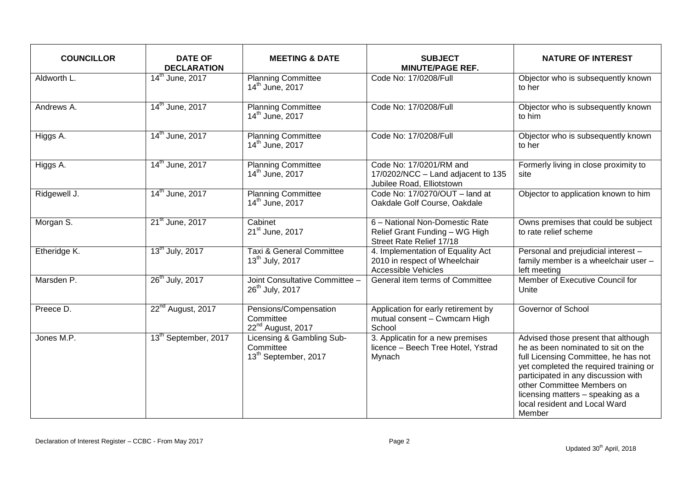| <b>COUNCILLOR</b> | <b>DATE OF</b><br><b>DECLARATION</b> | <b>MEETING &amp; DATE</b>                                                  | <b>SUBJECT</b><br><b>MINUTE/PAGE REF.</b>                                                        | <b>NATURE OF INTEREST</b>                                                                                                                                                                                                                                                                                        |
|-------------------|--------------------------------------|----------------------------------------------------------------------------|--------------------------------------------------------------------------------------------------|------------------------------------------------------------------------------------------------------------------------------------------------------------------------------------------------------------------------------------------------------------------------------------------------------------------|
| Aldworth L.       | $14th$ June, 2017                    | <b>Planning Committee</b><br>14 <sup>th</sup> June, 2017                   | Code No: 17/0208/Full                                                                            | Objector who is subsequently known<br>to her                                                                                                                                                                                                                                                                     |
| Andrews A.        | 14 <sup>th</sup> June, 2017          | <b>Planning Committee</b><br>14 <sup>th</sup> June, 2017                   | Code No: 17/0208/Full                                                                            | Objector who is subsequently known<br>to him                                                                                                                                                                                                                                                                     |
| Higgs A.          | 14 <sup>th</sup> June, 2017          | <b>Planning Committee</b><br>14 <sup>th</sup> June, 2017                   | Code No: 17/0208/Full                                                                            | Objector who is subsequently known<br>to her                                                                                                                                                                                                                                                                     |
| Higgs A.          | 14 <sup>th</sup> June, 2017          | <b>Planning Committee</b><br>14 <sup>th</sup> June, 2017                   | Code No: 17/0201/RM and<br>17/0202/NCC - Land adjacent to 135<br>Jubilee Road, Elliotstown       | Formerly living in close proximity to<br>site                                                                                                                                                                                                                                                                    |
| Ridgewell J.      | 14 <sup>th</sup> June, 2017          | <b>Planning Committee</b><br>14 <sup>th</sup> June, 2017                   | Code No: 17/0270/OUT - land at<br>Oakdale Golf Course, Oakdale                                   | Objector to application known to him                                                                                                                                                                                                                                                                             |
| Morgan S.         | 21 <sup>st</sup> June, 2017          | Cabinet<br>21 <sup>st</sup> June, 2017                                     | 6 - National Non-Domestic Rate<br>Relief Grant Funding - WG High<br>Street Rate Relief 17/18     | Owns premises that could be subject<br>to rate relief scheme                                                                                                                                                                                                                                                     |
| Etheridge K.      | 13 <sup>th</sup> July, 2017          | <b>Taxi &amp; General Committee</b><br>13 <sup>th</sup> July, 2017         | 4. Implementation of Equality Act<br>2010 in respect of Wheelchair<br><b>Accessible Vehicles</b> | Personal and prejudicial interest -<br>family member is a wheelchair user -<br>left meeting                                                                                                                                                                                                                      |
| Marsden P.        | 26 <sup>th</sup> July, 2017          | Joint Consultative Committee -<br>26 <sup>th</sup> July, 2017              | General item terms of Committee                                                                  | Member of Executive Council for<br>Unite                                                                                                                                                                                                                                                                         |
| Preece D.         | 22 <sup>nd</sup> August, 2017        | Pensions/Compensation<br>Committee<br>22 <sup>nd</sup> August, 2017        | Application for early retirement by<br>mutual consent - Cwmcarn High<br>School                   | Governor of School                                                                                                                                                                                                                                                                                               |
| Jones M.P.        | 13 <sup>th</sup> September, 2017     | Licensing & Gambling Sub-<br>Committee<br>13 <sup>th</sup> September, 2017 | 3. Applicatin for a new premises<br>licence - Beech Tree Hotel, Ystrad<br>Mynach                 | Advised those present that although<br>he as been nominated to sit on the<br>full Licensing Committee, he has not<br>yet completed the required training or<br>participated in any discussion with<br>other Committee Members on<br>licensing matters - speaking as a<br>local resident and Local Ward<br>Member |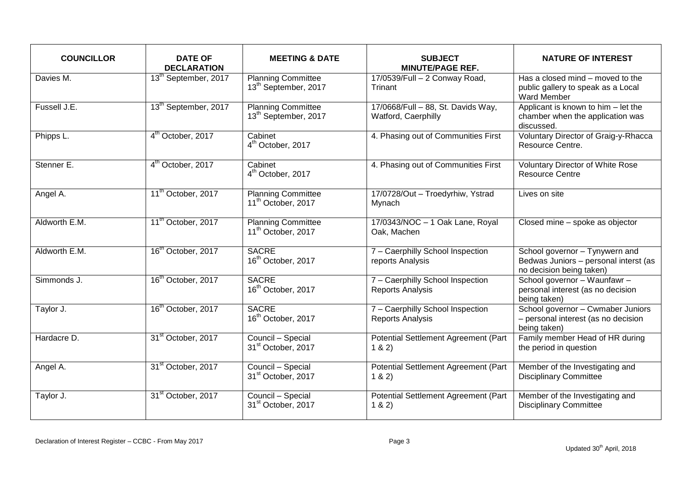| <b>COUNCILLOR</b> | <b>DATE OF</b><br><b>DECLARATION</b> | <b>MEETING &amp; DATE</b>                                     | <b>SUBJECT</b><br><b>MINUTE/PAGE REF.</b>                   | <b>NATURE OF INTEREST</b>                                                                           |
|-------------------|--------------------------------------|---------------------------------------------------------------|-------------------------------------------------------------|-----------------------------------------------------------------------------------------------------|
| Davies M.         | 13 <sup>th</sup> September, 2017     | <b>Planning Committee</b><br>13 <sup>th</sup> September, 2017 | $17/0539$ /Full - 2 Conway Road,<br>Trinant                 | Has a closed mind – moved to the<br>public gallery to speak as a Local<br><b>Ward Member</b>        |
| Fussell J.E.      | 13 <sup>th</sup> September, 2017     | <b>Planning Committee</b><br>13 <sup>th</sup> September, 2017 | 17/0668/Full - 88, St. Davids Way,<br>Watford, Caerphilly   | Applicant is known to him - let the<br>chamber when the application was<br>discussed.               |
| Phipps L.         | 4 <sup>th</sup> October, 2017        | Cabinet<br>4 <sup>th</sup> October, 2017                      | 4. Phasing out of Communities First                         | Voluntary Director of Graig-y-Rhacca<br>Resource Centre.                                            |
| Stenner E.        | 4 <sup>th</sup> October, 2017        | Cabinet<br>4 <sup>th</sup> October, 2017                      | 4. Phasing out of Communities First                         | Voluntary Director of White Rose<br><b>Resource Centre</b>                                          |
| Angel A.          | 11 <sup>th</sup> October, 2017       | <b>Planning Committee</b><br>11 <sup>th</sup> October, 2017   | 17/0728/Out - Troedyrhiw, Ystrad<br>Mynach                  | Lives on site                                                                                       |
| Aldworth E.M.     | 11 <sup>th</sup> October, 2017       | <b>Planning Committee</b><br>11 <sup>th</sup> October, 2017   | 17/0343/NOC - 1 Oak Lane, Royal<br>Oak, Machen              | Closed mine - spoke as objector                                                                     |
| Aldworth E.M.     | 16 <sup>th</sup> October, 2017       | <b>SACRE</b><br>16 <sup>th</sup> October, 2017                | 7 - Caerphilly School Inspection<br>reports Analysis        | School governor - Tynywern and<br>Bedwas Juniors - personal interst (as<br>no decision being taken) |
| Simmonds J.       | 16 <sup>th</sup> October, 2017       | <b>SACRE</b><br>16 <sup>th</sup> October, 2017                | 7 - Caerphilly School Inspection<br><b>Reports Analysis</b> | School governor - Waunfawr -<br>personal interest (as no decision<br>being taken)                   |
| Taylor J.         | 16 <sup>th</sup> October, 2017       | <b>SACRE</b><br>16 <sup>th</sup> October, 2017                | 7 - Caerphilly School Inspection<br><b>Reports Analysis</b> | School governor - Cwmaber Juniors<br>- personal interest (as no decision<br>being taken)            |
| Hardacre D.       | 31 <sup>st</sup> October, 2017       | Council - Special<br>31 <sup>st</sup> October, 2017           | Potential Settlement Agreement (Part<br>1 & 2)              | Family member Head of HR during<br>the period in question                                           |
| Angel A.          | 31 <sup>st</sup> October, 2017       | Council - Special<br>31 <sup>st</sup> October, 2017           | <b>Potential Settlement Agreement (Part</b><br>1 & 2)       | Member of the Investigating and<br><b>Disciplinary Committee</b>                                    |
| Taylor J.         | 31 <sup>st</sup> October, 2017       | Council - Special<br>31 <sup>st</sup> October, 2017           | Potential Settlement Agreement (Part<br>1 & 2)              | Member of the Investigating and<br><b>Disciplinary Committee</b>                                    |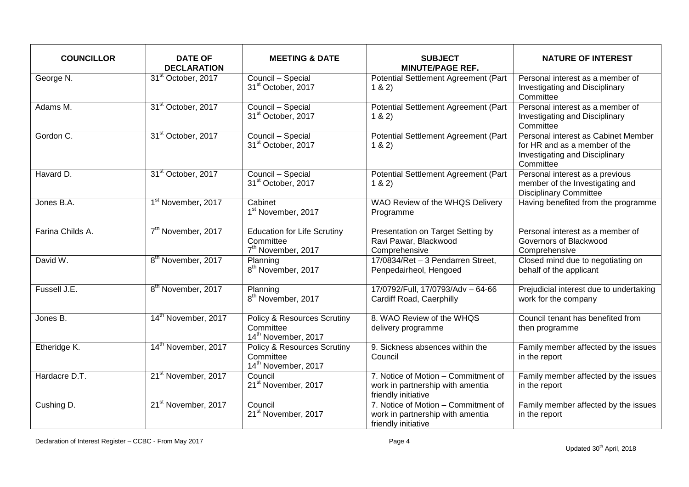| <b>COUNCILLOR</b> | <b>DATE OF</b><br><b>DECLARATION</b> | <b>MEETING &amp; DATE</b>                                                              | <b>SUBJECT</b><br><b>MINUTE/PAGE REF.</b>                                                      | <b>NATURE OF INTEREST</b>                                                                                           |
|-------------------|--------------------------------------|----------------------------------------------------------------------------------------|------------------------------------------------------------------------------------------------|---------------------------------------------------------------------------------------------------------------------|
| George N.         | 31 <sup>st</sup> October, 2017       | Council - Special<br>31 <sup>st</sup> October, 2017                                    | Potential Settlement Agreement (Part<br>1 & 2)                                                 | Personal interest as a member of<br>Investigating and Disciplinary<br>Committee                                     |
| Adams M.          | 31 <sup>st</sup> October, 2017       | Council - Special<br>31 <sup>st</sup> October, 2017                                    | Potential Settlement Agreement (Part<br>1 & 2)                                                 | Personal interest as a member of<br>Investigating and Disciplinary<br>Committee                                     |
| Gordon C.         | 31 <sup>st</sup> October, 2017       | Council - Special<br>31 <sup>st</sup> October, 2017                                    | Potential Settlement Agreement (Part<br>1 & 2)                                                 | Personal interest as Cabinet Member<br>for HR and as a member of the<br>Investigating and Disciplinary<br>Committee |
| Havard D.         | 31 <sup>st</sup> October, 2017       | Council - Special<br>31 <sup>st</sup> October, 2017                                    | Potential Settlement Agreement (Part<br>1 & 2)                                                 | Personal interest as a previous<br>member of the Investigating and<br><b>Disciplinary Committee</b>                 |
| Jones B.A.        | 1 <sup>st</sup> November, 2017       | Cabinet<br>1 <sup>st</sup> November, 2017                                              | WAO Review of the WHQS Delivery<br>Programme                                                   | Having benefited from the programme                                                                                 |
| Farina Childs A.  | 7 <sup>th</sup> November, 2017       | <b>Education for Life Scrutiny</b><br>Committee<br>7 <sup>th</sup> November, 2017      | Presentation on Target Setting by<br>Ravi Pawar, Blackwood<br>Comprehensive                    | Personal interest as a member of<br>Governors of Blackwood<br>Comprehensive                                         |
| David W.          | 8 <sup>th</sup> November, 2017       | Planning<br>8 <sup>th</sup> November, 2017                                             | 17/0834/Ret - 3 Pendarren Street,<br>Penpedairheol, Hengoed                                    | Closed mind due to negotiating on<br>behalf of the applicant                                                        |
| Fussell J.E.      | 8 <sup>th</sup> November, 2017       | Planning<br>8 <sup>th</sup> November, 2017                                             | 17/0792/Full, 17/0793/Adv - 64-66<br>Cardiff Road, Caerphilly                                  | Prejudicial interest due to undertaking<br>work for the company                                                     |
| Jones B.          | 14 <sup>th</sup> November, 2017      | Policy & Resources Scrutiny<br>Committee<br>14th November, 2017                        | 8. WAO Review of the WHQS<br>delivery programme                                                | Council tenant has benefited from<br>then programme                                                                 |
| Etheridge K.      | 14 <sup>th</sup> November, 2017      | <b>Policy &amp; Resources Scrutiny</b><br>Committee<br>14 <sup>th</sup> November, 2017 | 9. Sickness absences within the<br>Council                                                     | Family member affected by the issues<br>in the report                                                               |
| Hardacre D.T.     | 21 <sup>st</sup> November, 2017      | Council<br>21 <sup>st</sup> November, 2017                                             | 7. Notice of Motion - Commitment of<br>work in partnership with amentia<br>friendly initiative | Family member affected by the issues<br>in the report                                                               |
| Cushing D.        | 21 <sup>st</sup> November, 2017      | Council<br>21 <sup>st</sup> November, 2017                                             | 7. Notice of Motion - Commitment of<br>work in partnership with amentia<br>friendly initiative | Family member affected by the issues<br>in the report                                                               |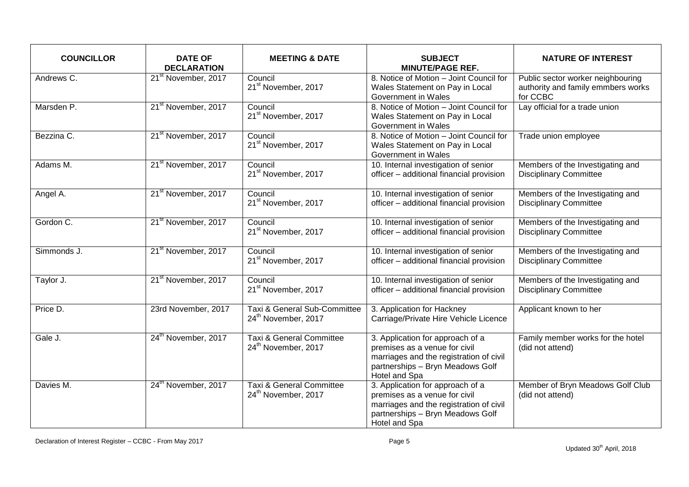| <b>COUNCILLOR</b>      | <b>DATE OF</b><br><b>DECLARATION</b> | <b>MEETING &amp; DATE</b>                                              | <b>SUBJECT</b><br><b>MINUTE/PAGE REF.</b>                                                                                                                         | <b>NATURE OF INTEREST</b>                                                           |
|------------------------|--------------------------------------|------------------------------------------------------------------------|-------------------------------------------------------------------------------------------------------------------------------------------------------------------|-------------------------------------------------------------------------------------|
| Andrews C.             | 21 <sup>st</sup> November, 2017      | Council<br>21 <sup>st</sup> November, 2017                             | 8. Notice of Motion - Joint Council for<br>Wales Statement on Pay in Local<br>Government in Wales                                                                 | Public sector worker neighbouring<br>authority and family emmbers works<br>for CCBC |
| Marsden P.             | 21 <sup>st</sup> November, 2017      | Council<br>21 <sup>st</sup> November, 2017                             | 8. Notice of Motion - Joint Council for<br>Wales Statement on Pay in Local<br>Government in Wales                                                                 | Lay official for a trade union                                                      |
| Bezzina C.             | 21 <sup>st</sup> November, 2017      | Council<br>21 <sup>st</sup> November, 2017                             | 8. Notice of Motion - Joint Council for<br>Wales Statement on Pay in Local<br>Government in Wales                                                                 | Trade union employee                                                                |
| Adams $\overline{M}$ . | 21 <sup>st</sup> November, 2017      | Council<br>21 <sup>st</sup> November, 2017                             | 10. Internal investigation of senior<br>officer - additional financial provision                                                                                  | Members of the Investigating and<br><b>Disciplinary Committee</b>                   |
| Angel A.               | 21 <sup>st</sup> November, 2017      | Council<br>21 <sup>st</sup> November, 2017                             | 10. Internal investigation of senior<br>officer - additional financial provision                                                                                  | Members of the Investigating and<br><b>Disciplinary Committee</b>                   |
| Gordon C.              | 21 <sup>st</sup> November, 2017      | Council<br>21 <sup>st</sup> November, 2017                             | 10. Internal investigation of senior<br>officer - additional financial provision                                                                                  | Members of the Investigating and<br><b>Disciplinary Committee</b>                   |
| Simmonds J.            | 21 <sup>st</sup> November, 2017      | Council<br>21 <sup>st</sup> November, 2017                             | 10. Internal investigation of senior<br>officer - additional financial provision                                                                                  | Members of the Investigating and<br><b>Disciplinary Committee</b>                   |
| Taylor J.              | 21 <sup>st</sup> November, 2017      | Council<br>21 <sup>st</sup> November, 2017                             | 10. Internal investigation of senior<br>officer - additional financial provision                                                                                  | Members of the Investigating and<br><b>Disciplinary Committee</b>                   |
| Price D.               | 23rd November, 2017                  | Taxi & General Sub-Committee<br>24 <sup>th</sup> November, 2017        | 3. Application for Hackney<br>Carriage/Private Hire Vehicle Licence                                                                                               | Applicant known to her                                                              |
| Gale J.                | 24 <sup>th</sup> November, 2017      | <b>Taxi &amp; General Committee</b><br>24 <sup>th</sup> November, 2017 | 3. Application for approach of a<br>premises as a venue for civil<br>marriages and the registration of civil<br>partnerships - Bryn Meadows Golf<br>Hotel and Spa | Family member works for the hotel<br>(did not attend)                               |
| Davies M.              | 24 <sup>th</sup> November, 2017      | Taxi & General Committee<br>24 <sup>th</sup> November, 2017            | 3. Application for approach of a<br>premises as a venue for civil<br>marriages and the registration of civil<br>partnerships - Bryn Meadows Golf<br>Hotel and Spa | Member of Bryn Meadows Golf Club<br>(did not attend)                                |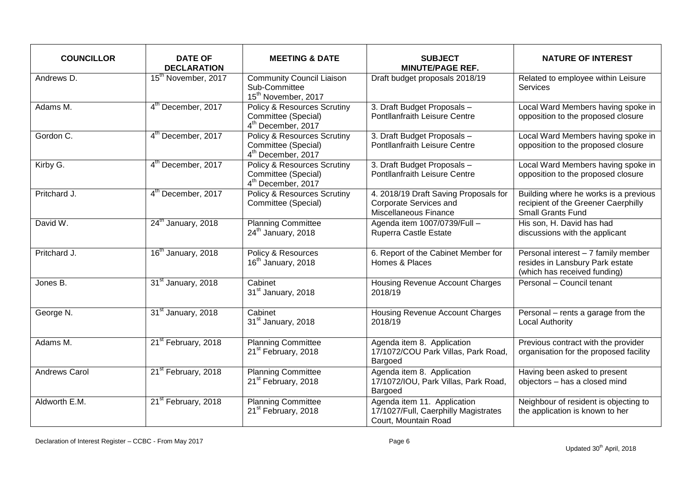| <b>COUNCILLOR</b> | <b>DATE OF</b><br><b>DECLARATION</b> | <b>MEETING &amp; DATE</b>                                                                       | <b>SUBJECT</b><br><b>MINUTE/PAGE REF.</b>                                                   | <b>NATURE OF INTEREST</b>                                                                                |
|-------------------|--------------------------------------|-------------------------------------------------------------------------------------------------|---------------------------------------------------------------------------------------------|----------------------------------------------------------------------------------------------------------|
| Andrews D.        | 15 <sup>th</sup> November, 2017      | <b>Community Council Liaison</b><br>Sub-Committee<br>15 <sup>th</sup> November, 2017            | Draft budget proposals 2018/19                                                              | Related to employee within Leisure<br><b>Services</b>                                                    |
| Adams M.          | 4 <sup>th</sup> December, 2017       | <b>Policy &amp; Resources Scrutiny</b><br>Committee (Special)<br>4 <sup>th</sup> December, 2017 | 3. Draft Budget Proposals -<br><b>Pontllanfraith Leisure Centre</b>                         | Local Ward Members having spoke in<br>opposition to the proposed closure                                 |
| Gordon C.         | 4 <sup>th</sup> December, 2017       | <b>Policy &amp; Resources Scrutiny</b><br>Committee (Special)<br>4 <sup>th</sup> December, 2017 | 3. Draft Budget Proposals -<br>Pontllanfraith Leisure Centre                                | Local Ward Members having spoke in<br>opposition to the proposed closure                                 |
| Kirby G.          | 4 <sup>th</sup> December, 2017       | <b>Policy &amp; Resources Scrutiny</b><br>Committee (Special)<br>4 <sup>th</sup> December, 2017 | 3. Draft Budget Proposals -<br>Pontllanfraith Leisure Centre                                | Local Ward Members having spoke in<br>opposition to the proposed closure                                 |
| Pritchard J.      | 4 <sup>th</sup> December, 2017       | <b>Policy &amp; Resources Scrutiny</b><br>Committee (Special)                                   | 4. 2018/19 Draft Saving Proposals for<br>Corporate Services and<br>Miscellaneous Finance    | Building where he works is a previous<br>recipient of the Greener Caerphilly<br><b>Small Grants Fund</b> |
| David W.          | 24 <sup>th</sup> January, 2018       | <b>Planning Committee</b><br>24 <sup>th</sup> January, 2018                                     | Agenda item 1007/0739/Full -<br>Ruperra Castle Estate                                       | His son, H. David has had<br>discussions with the applicant                                              |
| Pritchard J.      | 16 <sup>th</sup> January, 2018       | Policy & Resources<br>16 <sup>th</sup> January, 2018                                            | 6. Report of the Cabinet Member for<br>Homes & Places                                       | Personal interest - 7 family member<br>resides in Lansbury Park estate<br>(which has received funding)   |
| Jones B.          | 31 <sup>st</sup> January, 2018       | Cabinet<br>31 <sup>st</sup> January, 2018                                                       | Housing Revenue Account Charges<br>2018/19                                                  | Personal - Council tenant                                                                                |
| George N.         | 31 <sup>st</sup> January, 2018       | Cabinet<br>31 <sup>st</sup> January, 2018                                                       | <b>Housing Revenue Account Charges</b><br>2018/19                                           | Personal – rents a garage from the<br><b>Local Authority</b>                                             |
| Adams M.          | 21 <sup>st</sup> February, 2018      | <b>Planning Committee</b><br>21 <sup>st</sup> February, 2018                                    | Agenda item 8. Application<br>17/1072/COU Park Villas, Park Road,<br>Bargoed                | Previous contract with the provider<br>organisation for the proposed facility                            |
| Andrews Carol     | 21 <sup>st</sup> February, 2018      | <b>Planning Committee</b><br>21 <sup>st</sup> February, 2018                                    | Agenda item 8. Application<br>17/1072/IOU, Park Villas, Park Road,<br>Bargoed               | Having been asked to present<br>objectors - has a closed mind                                            |
| Aldworth E.M.     | 21 <sup>st</sup> February, 2018      | <b>Planning Committee</b><br>21 <sup>st</sup> February, 2018                                    | Agenda item 11. Application<br>17/1027/Full, Caerphilly Magistrates<br>Court, Mountain Road | Neighbour of resident is objecting to<br>the application is known to her                                 |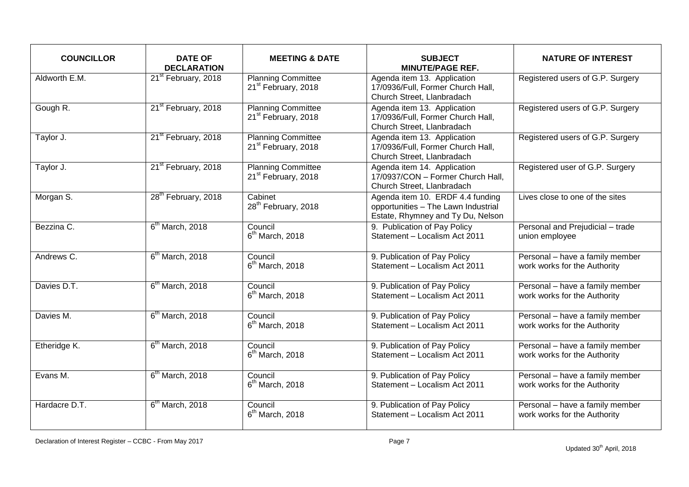| <b>COUNCILLOR</b> | <b>DATE OF</b><br><b>DECLARATION</b> | <b>MEETING &amp; DATE</b>                                    | <b>SUBJECT</b><br><b>MINUTE/PAGE REF.</b>                                                                    | <b>NATURE OF INTEREST</b>                                       |
|-------------------|--------------------------------------|--------------------------------------------------------------|--------------------------------------------------------------------------------------------------------------|-----------------------------------------------------------------|
| Aldworth E.M.     | 21 <sup>st</sup> February, 2018      | <b>Planning Committee</b><br>21 <sup>st</sup> February, 2018 | Agenda item 13. Application<br>17/0936/Full, Former Church Hall,<br>Church Street, Llanbradach               | Registered users of G.P. Surgery                                |
| Gough R.          | 21 <sup>st</sup> February, 2018      | <b>Planning Committee</b><br>21 <sup>st</sup> February, 2018 | Agenda item 13. Application<br>17/0936/Full, Former Church Hall,<br>Church Street, Llanbradach               | Registered users of G.P. Surgery                                |
| Taylor J.         | 21 <sup>st</sup> February, 2018      | <b>Planning Committee</b><br>21 <sup>st</sup> February, 2018 | Agenda item 13. Application<br>17/0936/Full, Former Church Hall,<br>Church Street, Llanbradach               | Registered users of G.P. Surgery                                |
| Taylor J.         | 21 <sup>st</sup> February, 2018      | <b>Planning Committee</b><br>21 <sup>st</sup> February, 2018 | Agenda item 14. Application<br>17/0937/CON - Former Church Hall,<br>Church Street, Llanbradach               | Registered user of G.P. Surgery                                 |
| Morgan S.         | 28 <sup>th</sup> February, 2018      | Cabinet<br>28 <sup>th</sup> February, 2018                   | Agenda item 10. ERDF 4.4 funding<br>opportunities - The Lawn Industrial<br>Estate, Rhymney and Ty Du, Nelson | Lives close to one of the sites                                 |
| Bezzina C.        | $6th$ March, 2018                    | Council<br>$6th$ March, 2018                                 | 9. Publication of Pay Policy<br>Statement - Localism Act 2011                                                | Personal and Prejudicial - trade<br>union employee              |
| Andrews C.        | $6th$ March, 2018                    | Council<br>$6th$ March, 2018                                 | 9. Publication of Pay Policy<br>Statement - Localism Act 2011                                                | Personal - have a family member<br>work works for the Authority |
| Davies D.T.       | 6 <sup>th</sup> March, 2018          | Council<br>$6th$ March, 2018                                 | 9. Publication of Pay Policy<br>Statement - Localism Act 2011                                                | Personal - have a family member<br>work works for the Authority |
| Davies M.         | $6th$ March, 2018                    | Council<br>$6th$ March, 2018                                 | 9. Publication of Pay Policy<br>Statement - Localism Act 2011                                                | Personal - have a family member<br>work works for the Authority |
| Etheridge K.      | $6th$ March, 2018                    | Council<br>$6th$ March, 2018                                 | 9. Publication of Pay Policy<br>Statement - Localism Act 2011                                                | Personal - have a family member<br>work works for the Authority |
| Evans M.          | $6th$ March, 2018                    | Council<br>$6th$ March, 2018                                 | 9. Publication of Pay Policy<br>Statement - Localism Act 2011                                                | Personal - have a family member<br>work works for the Authority |
| Hardacre D.T.     | $6th$ March, 2018                    | Council<br>$6th$ March, 2018                                 | 9. Publication of Pay Policy<br>Statement - Localism Act 2011                                                | Personal - have a family member<br>work works for the Authority |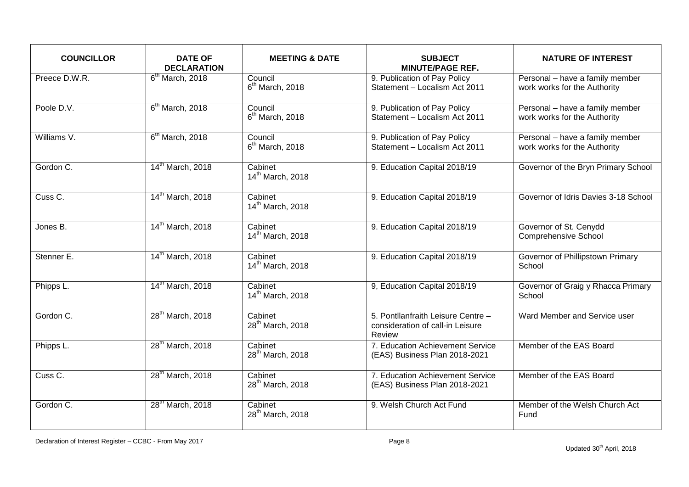| <b>COUNCILLOR</b> | <b>DATE OF</b><br><b>DECLARATION</b> | <b>MEETING &amp; DATE</b>               | <b>SUBJECT</b><br><b>MINUTE/PAGE REF.</b>                                        | <b>NATURE OF INTEREST</b>                                       |
|-------------------|--------------------------------------|-----------------------------------------|----------------------------------------------------------------------------------|-----------------------------------------------------------------|
| Preece D.W.R.     | $6th$ March, 2018                    | Council<br>$6th$ March, 2018            | 9. Publication of Pay Policy<br>Statement - Localism Act 2011                    | Personal - have a family member<br>work works for the Authority |
| Poole D.V.        | $6th$ March, 2018                    | Council<br>$6th$ March, 2018            | 9. Publication of Pay Policy<br>Statement - Localism Act 2011                    | Personal - have a family member<br>work works for the Authority |
| Williams V.       | $6th$ March, 2018                    | Council<br>$6th$ March, 2018            | 9. Publication of Pay Policy<br>Statement - Localism Act 2011                    | Personal - have a family member<br>work works for the Authority |
| Gordon C.         | 14 <sup>th</sup> March, 2018         | Cabinet<br>14 <sup>th</sup> March, 2018 | 9. Education Capital 2018/19                                                     | Governor of the Bryn Primary School                             |
| Cuss C.           | 14 <sup>th</sup> March, 2018         | Cabinet<br>14 <sup>th</sup> March, 2018 | 9. Education Capital 2018/19                                                     | Governor of Idris Davies 3-18 School                            |
| Jones B.          | 14 <sup>th</sup> March, 2018         | Cabinet<br>14 <sup>th</sup> March, 2018 | 9. Education Capital 2018/19                                                     | Governor of St. Cenydd<br><b>Comprehensive School</b>           |
| Stenner E.        | 14 <sup>th</sup> March, 2018         | Cabinet<br>14 <sup>th</sup> March, 2018 | 9. Education Capital 2018/19                                                     | Governor of Phillipstown Primary<br>School                      |
| Phipps L.         | 14 <sup>th</sup> March, 2018         | Cabinet<br>14 <sup>th</sup> March, 2018 | 9, Education Capital 2018/19                                                     | Governor of Graig y Rhacca Primary<br>School                    |
| Gordon C.         | 28 <sup>th</sup> March, 2018         | Cabinet<br>28 <sup>th</sup> March, 2018 | 5. Pontllanfraith Leisure Centre -<br>consideration of call-in Leisure<br>Review | Ward Member and Service user                                    |
| Phipps L.         | 28 <sup>th</sup> March, 2018         | Cabinet<br>28 <sup>th</sup> March, 2018 | 7. Education Achievement Service<br>(EAS) Business Plan 2018-2021                | Member of the EAS Board                                         |
| Cuss C.           | 28 <sup>th</sup> March, 2018         | Cabinet<br>28 <sup>th</sup> March, 2018 | 7. Education Achievement Service<br>(EAS) Business Plan 2018-2021                | Member of the EAS Board                                         |
| Gordon C.         | 28 <sup>th</sup> March, 2018         | Cabinet<br>28 <sup>th</sup> March, 2018 | 9. Welsh Church Act Fund                                                         | Member of the Welsh Church Act<br>Fund                          |